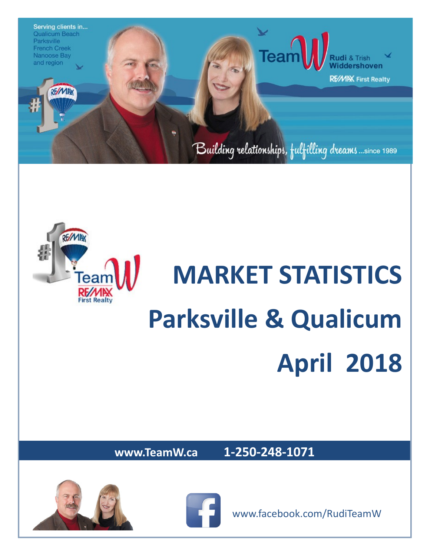



## **MARKET STATISTICS Parksville & Qualicum April 2018**

**www.TeamW.ca 1-250-248-1071** 





www.facebook.com/RudiTeamW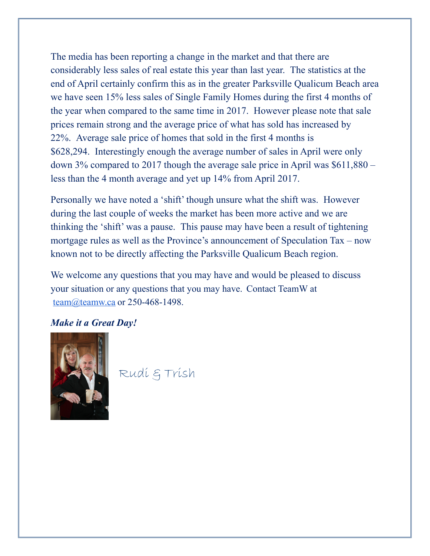The media has been reporting a change in the market and that there are considerably less sales of real estate this year than last year. The statistics at the end of April certainly confirm this as in the greater Parksville Qualicum Beach area we have seen 15% less sales of Single Family Homes during the first 4 months of the year when compared to the same time in 2017. However please note that sale prices remain strong and the average price of what has sold has increased by 22%. Average sale price of homes that sold in the first 4 months is \$628,294. Interestingly enough the average number of sales in April were only down 3% compared to 2017 though the average sale price in April was \$611,880 – less than the 4 month average and yet up 14% from April 2017.

Personally we have noted a 'shift' though unsure what the shift was. However during the last couple of weeks the market has been more active and we are thinking the 'shift' was a pause. This pause may have been a result of tightening mortgage rules as well as the Province's announcement of Speculation Tax – now known not to be directly affecting the Parksville Qualicum Beach region.

We welcome any questions that you may have and would be pleased to discuss your situation or any questions that you may have. Contact TeamW at [team@teamw.ca](mailto:team@teamw.ca) or 250-468-1498.

## *Make it a Great Day!*



Rudi & Trish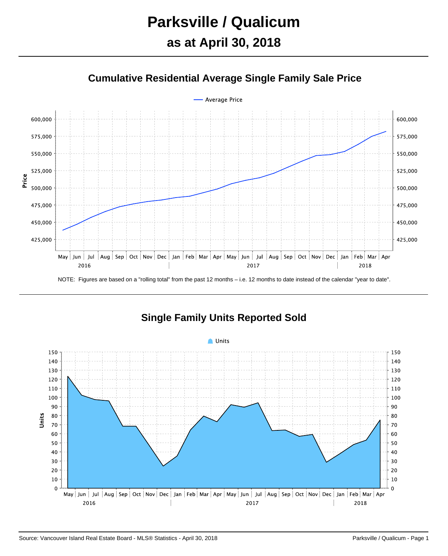



**Single Family Units Reported Sold**

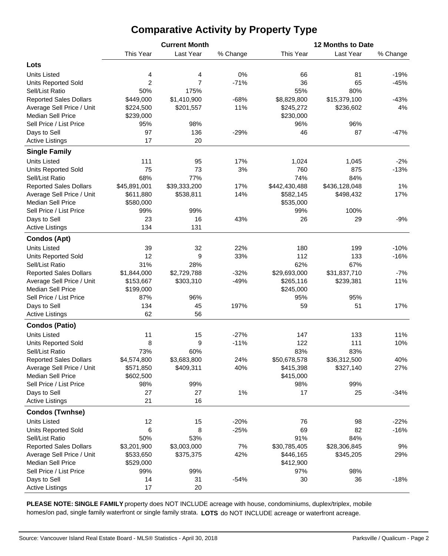## **Comparative Activity by Property Type**

|                               |                | <b>Current Month</b> |          | 12 Months to Date |               |          |  |  |  |  |
|-------------------------------|----------------|----------------------|----------|-------------------|---------------|----------|--|--|--|--|
|                               | This Year      | Last Year            | % Change | This Year         | Last Year     | % Change |  |  |  |  |
| Lots                          |                |                      |          |                   |               |          |  |  |  |  |
| <b>Units Listed</b>           | 4              | 4                    | 0%       | 66                | 81            | $-19%$   |  |  |  |  |
| <b>Units Reported Sold</b>    | $\overline{2}$ | 7                    | $-71%$   | 36                | 65            | $-45%$   |  |  |  |  |
| Sell/List Ratio               | 50%            | 175%                 |          | 55%               | 80%           |          |  |  |  |  |
| <b>Reported Sales Dollars</b> | \$449,000      | \$1,410,900          | $-68%$   | \$8,829,800       | \$15,379,100  | $-43%$   |  |  |  |  |
| Average Sell Price / Unit     | \$224,500      | \$201,557            | 11%      | \$245,272         | \$236,602     | 4%       |  |  |  |  |
| <b>Median Sell Price</b>      | \$239,000      |                      |          | \$230,000         |               |          |  |  |  |  |
| Sell Price / List Price       | 95%            | 98%                  |          | 96%               | 96%           |          |  |  |  |  |
| Days to Sell                  | 97             | 136                  | $-29%$   | 46                | 87            | $-47%$   |  |  |  |  |
| <b>Active Listings</b>        | 17             | 20                   |          |                   |               |          |  |  |  |  |
|                               |                |                      |          |                   |               |          |  |  |  |  |
| <b>Single Family</b>          |                |                      |          |                   |               |          |  |  |  |  |
| <b>Units Listed</b>           | 111            | 95                   | 17%      | 1,024             | 1,045         | $-2%$    |  |  |  |  |
| <b>Units Reported Sold</b>    | 75             | 73                   | 3%       | 760               | 875           | $-13%$   |  |  |  |  |
| Sell/List Ratio               | 68%            | 77%                  |          | 74%               | 84%           |          |  |  |  |  |
| <b>Reported Sales Dollars</b> | \$45,891,001   | \$39,333,200         | 17%      | \$442,430,488     | \$436,128,048 | 1%       |  |  |  |  |
| Average Sell Price / Unit     | \$611,880      | \$538,811            | 14%      | \$582,145         | \$498,432     | 17%      |  |  |  |  |
| <b>Median Sell Price</b>      | \$580,000      |                      |          | \$535,000         |               |          |  |  |  |  |
| Sell Price / List Price       | 99%            | 99%                  |          | 99%               | 100%          |          |  |  |  |  |
| Days to Sell                  | 23             | 16                   | 43%      | 26                | 29            | $-9%$    |  |  |  |  |
| <b>Active Listings</b>        | 134            | 131                  |          |                   |               |          |  |  |  |  |
| <b>Condos (Apt)</b>           |                |                      |          |                   |               |          |  |  |  |  |
| <b>Units Listed</b>           | 39             | 32                   | 22%      | 180               | 199           | $-10%$   |  |  |  |  |
| <b>Units Reported Sold</b>    | 12             | 9                    | 33%      | 112               | 133           | $-16%$   |  |  |  |  |
| Sell/List Ratio               | 31%            | 28%                  |          | 62%               | 67%           |          |  |  |  |  |
| <b>Reported Sales Dollars</b> | \$1,844,000    | \$2,729,788          | $-32%$   | \$29,693,000      | \$31,837,710  | $-7%$    |  |  |  |  |
| Average Sell Price / Unit     | \$153,667      | \$303,310            | $-49%$   | \$265,116         | \$239,381     | 11%      |  |  |  |  |
| <b>Median Sell Price</b>      | \$199,000      |                      |          | \$245,000         |               |          |  |  |  |  |
| Sell Price / List Price       | 87%            | 96%                  |          | 95%               | 95%           |          |  |  |  |  |
| Days to Sell                  | 134            | 45                   | 197%     | 59                | 51            | 17%      |  |  |  |  |
| <b>Active Listings</b>        | 62             | 56                   |          |                   |               |          |  |  |  |  |
| <b>Condos (Patio)</b>         |                |                      |          |                   |               |          |  |  |  |  |
| <b>Units Listed</b>           | 11             | 15                   | $-27%$   | 147               | 133           | 11%      |  |  |  |  |
| <b>Units Reported Sold</b>    | 8              | 9                    | $-11%$   | 122               | 111           | 10%      |  |  |  |  |
| Sell/List Ratio               | 73%            | 60%                  |          | 83%               | 83%           |          |  |  |  |  |
| <b>Reported Sales Dollars</b> | \$4,574,800    | \$3,683,800          | 24%      | \$50,678,578      | \$36,312,500  | 40%      |  |  |  |  |
| Average Sell Price / Unit     | \$571,850      | \$409,311            | 40%      | \$415,398         | \$327,140     | 27%      |  |  |  |  |
| <b>Median Sell Price</b>      | \$602,500      |                      |          | \$415,000         |               |          |  |  |  |  |
| Sell Price / List Price       | 98%            | 99%                  |          | 98%               | 99%           |          |  |  |  |  |
| Days to Sell                  | 27             | 27                   | 1%       | 17                | 25            | $-34%$   |  |  |  |  |
| <b>Active Listings</b>        | 21             | 16                   |          |                   |               |          |  |  |  |  |
| <b>Condos (Twnhse)</b>        |                |                      |          |                   |               |          |  |  |  |  |
| <b>Units Listed</b>           | 12             | 15                   | $-20%$   | 76                | 98            | $-22%$   |  |  |  |  |
| <b>Units Reported Sold</b>    | 6              | 8                    | $-25%$   | 69                | 82            | $-16%$   |  |  |  |  |
| Sell/List Ratio               | 50%            | 53%                  |          | 91%               | 84%           |          |  |  |  |  |
| <b>Reported Sales Dollars</b> | \$3,201,900    | \$3,003,000          | 7%       | \$30,785,405      | \$28,306,845  | 9%       |  |  |  |  |
| Average Sell Price / Unit     | \$533,650      | \$375,375            | 42%      | \$446,165         | \$345,205     | 29%      |  |  |  |  |
| <b>Median Sell Price</b>      | \$529,000      |                      |          | \$412,900         |               |          |  |  |  |  |
| Sell Price / List Price       | 99%            | 99%                  |          | 97%               | 98%           |          |  |  |  |  |
| Days to Sell                  | 14             | 31                   | $-54%$   | 30                | 36            | $-18%$   |  |  |  |  |
| <b>Active Listings</b>        | 17             | 20                   |          |                   |               |          |  |  |  |  |

**PLEASE NOTE: SINGLE FAMILY** property does NOT INCLUDE acreage with house, condominiums, duplex/triplex, mobile homes/on pad, single family waterfront or single family strata. **LOTS** do NOT INCLUDE acreage or waterfront acreage.